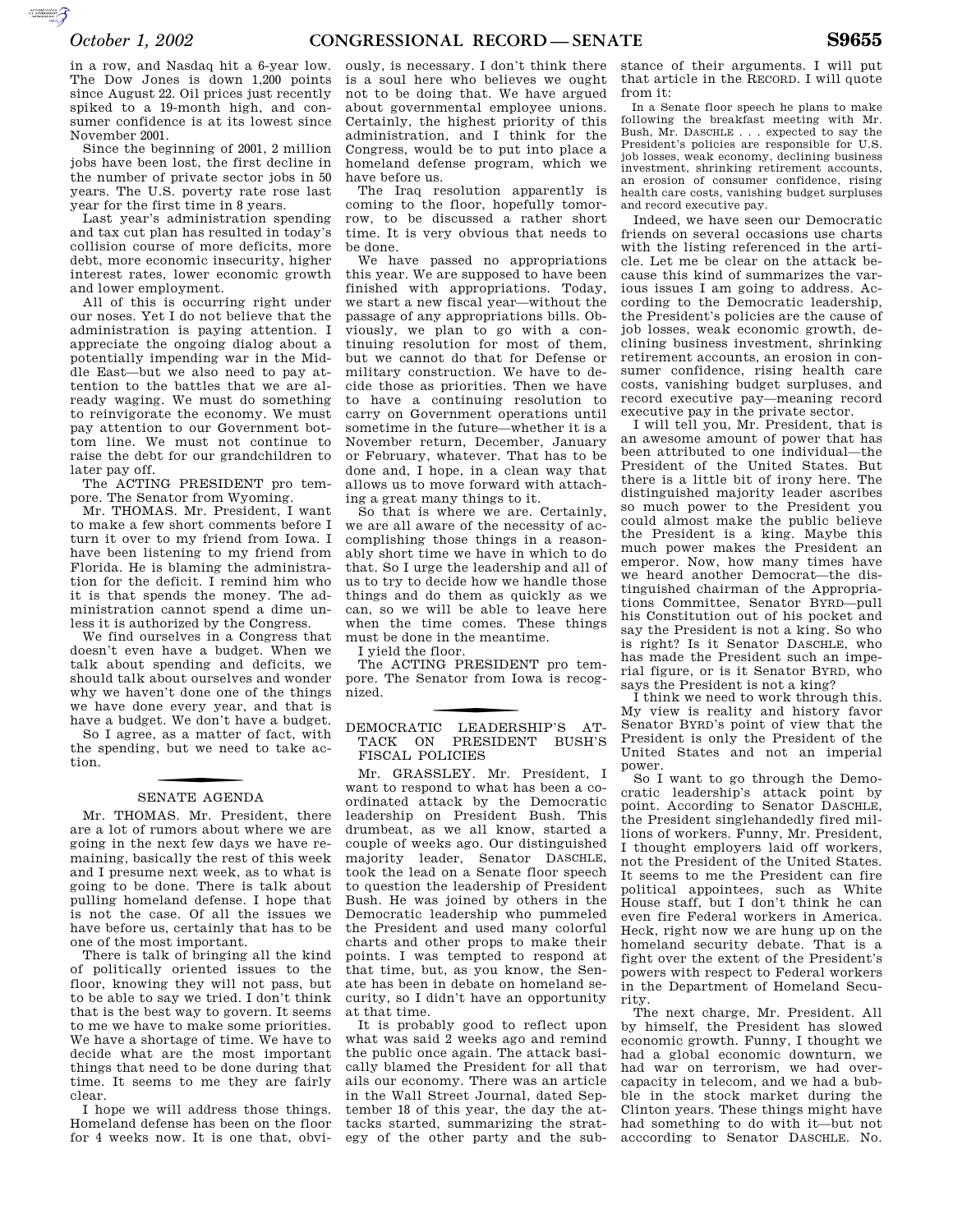AUTOROTOMICALE CONTINUES

in a row, and Nasdaq hit a 6-year low. The Dow Jones is down 1,200 points since August 22. Oil prices just recently spiked to a 19-month high, and consumer confidence is at its lowest since November 2001.

Since the beginning of 2001, 2 million jobs have been lost, the first decline in the number of private sector jobs in 50 years. The U.S. poverty rate rose last year for the first time in 8 years.

Last year's administration spending and tax cut plan has resulted in today's collision course of more deficits, more debt, more economic insecurity, higher interest rates, lower economic growth and lower employment.

All of this is occurring right under our noses. Yet I do not believe that the administration is paying attention. I appreciate the ongoing dialog about a potentially impending war in the Middle East—but we also need to pay attention to the battles that we are already waging. We must do something to reinvigorate the economy. We must pay attention to our Government bottom line. We must not continue to raise the debt for our grandchildren to later pay off.

The ACTING PRESIDENT pro tempore. The Senator from Wyoming.

Mr. THOMAS. Mr. President, I want to make a few short comments before I turn it over to my friend from Iowa. I have been listening to my friend from Florida. He is blaming the administration for the deficit. I remind him who it is that spends the money. The administration cannot spend a dime unless it is authorized by the Congress.

We find ourselves in a Congress that doesn't even have a budget. When we talk about spending and deficits, we should talk about ourselves and wonder why we haven't done one of the things we have done every year, and that is have a budget. We don't have a budget.

So I agree, as a matter of fact, with the spending, but we need to take action.

## SENATE AGENDA

Mr. THOMAS. Mr. President, there are a lot of rumors about where we are going in the next few days we have remaining, basically the rest of this week and I presume next week, as to what is going to be done. There is talk about pulling homeland defense. I hope that is not the case. Of all the issues we have before us, certainly that has to be one of the most important.

There is talk of bringing all the kind of politically oriented issues to the floor, knowing they will not pass, but to be able to say we tried. I don't think that is the best way to govern. It seems to me we have to make some priorities. We have a shortage of time. We have to decide what are the most important things that need to be done during that time. It seems to me they are fairly clear.

I hope we will address those things. Homeland defense has been on the floor for 4 weeks now. It is one that, obvi-

ously, is necessary. I don't think there is a soul here who believes we ought not to be doing that. We have argued about governmental employee unions. Certainly, the highest priority of this administration, and I think for the Congress, would be to put into place a homeland defense program, which we have before us.

The Iraq resolution apparently is coming to the floor, hopefully tomorrow, to be discussed a rather short time. It is very obvious that needs to be done.

We have passed no appropriations this year. We are supposed to have been finished with appropriations. Today, we start a new fiscal year—without the passage of any appropriations bills. Obviously, we plan to go with a continuing resolution for most of them, but we cannot do that for Defense or military construction. We have to decide those as priorities. Then we have to have a continuing resolution to carry on Government operations until sometime in the future—whether it is a November return, December, January or February, whatever. That has to be done and, I hope, in a clean way that allows us to move forward with attaching a great many things to it.

So that is where we are. Certainly, we are all aware of the necessity of accomplishing those things in a reasonably short time we have in which to do that. So I urge the leadership and all of us to try to decide how we handle those things and do them as quickly as we can, so we will be able to leave here when the time comes. These things must be done in the meantime.

I yield the floor.

The ACTING PRESIDENT pro tempore. The Senator from Iowa is recognized.

f DEMOCRATIC LEADERSHIP'S AT-TACK ON PRESIDENT BUSH'S FISCAL POLICIES

Mr. GRASSLEY. Mr. President, I want to respond to what has been a coordinated attack by the Democratic leadership on President Bush. This drumbeat, as we all know, started a couple of weeks ago. Our distinguished majority leader, Senator DASCHLE, took the lead on a Senate floor speech to question the leadership of President Bush. He was joined by others in the Democratic leadership who pummeled the President and used many colorful charts and other props to make their points. I was tempted to respond at that time, but, as you know, the Senate has been in debate on homeland security, so I didn't have an opportunity at that time.

It is probably good to reflect upon what was said 2 weeks ago and remind the public once again. The attack basically blamed the President for all that ails our economy. There was an article in the Wall Street Journal, dated September 18 of this year, the day the attacks started, summarizing the strategy of the other party and the substance of their arguments. I will put that article in the RECORD. I will quote from it:

In a Senate floor speech he plans to make following the breakfast meeting with Mr. Bush, Mr. DASCHLE . . . expected to say the President's policies are responsible for U.S. job losses, weak economy, declining business investment, shrinking retirement accounts, an erosion of consumer confidence, rising health care costs, vanishing budget surpluses and record executive pay.

Indeed, we have seen our Democratic friends on several occasions use charts with the listing referenced in the article. Let me be clear on the attack because this kind of summarizes the various issues I am going to address. According to the Democratic leadership, the President's policies are the cause of job losses, weak economic growth, declining business investment, shrinking retirement accounts, an erosion in consumer confidence, rising health care costs, vanishing budget surpluses, and record executive pay—meaning record executive pay in the private sector.

I will tell you, Mr. President, that is an awesome amount of power that has been attributed to one individual—the President of the United States. But there is a little bit of irony here. The distinguished majority leader ascribes so much power to the President you could almost make the public believe the President is a king. Maybe this much power makes the President an emperor. Now, how many times have we heard another Democrat—the distinguished chairman of the Appropriations Committee, Senator BYRD—pull his Constitution out of his pocket and say the President is not a king. So who is right? Is it Senator DASCHLE, who has made the President such an imperial figure, or is it Senator BYRD, who says the President is not a king?

I think we need to work through this. My view is reality and history favor Senator BYRD's point of view that the President is only the President of the United States and not an imperial power.

So I want to go through the Democratic leadership's attack point by point. According to Senator DASCHLE, the President singlehandedly fired millions of workers. Funny, Mr. President, I thought employers laid off workers, not the President of the United States. It seems to me the President can fire political appointees, such as White House staff, but I don't think he can even fire Federal workers in America. Heck, right now we are hung up on the homeland security debate. That is a fight over the extent of the President's powers with respect to Federal workers in the Department of Homeland Security.

The next charge, Mr. President. All by himself, the President has slowed economic growth. Funny, I thought we had a global economic downturn, we had war on terrorism, we had overcapacity in telecom, and we had a bubble in the stock market during the Clinton years. These things might have had something to do with it—but not acccording to Senator DASCHLE. No.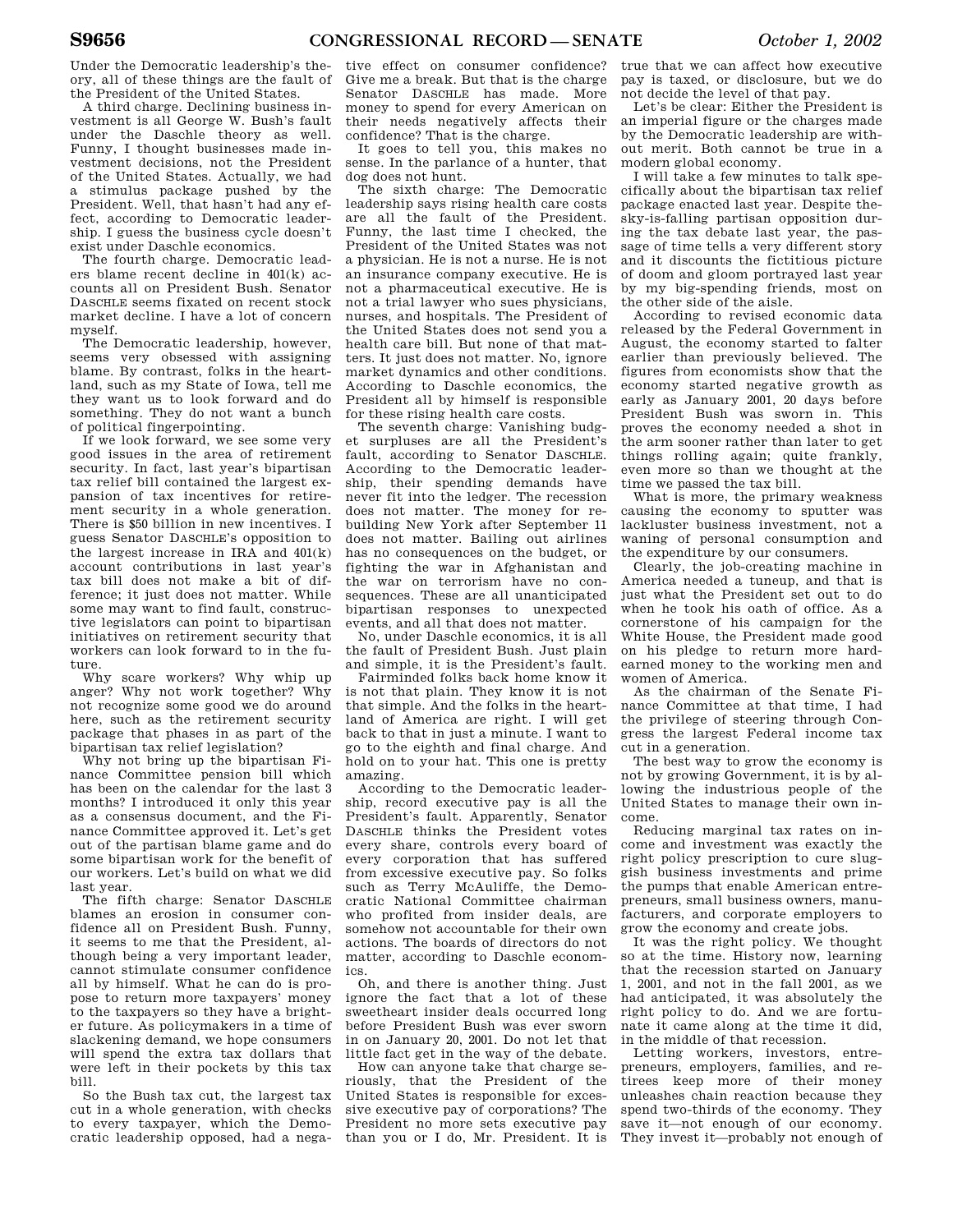Under the Democratic leadership's theory, all of these things are the fault of the President of the United States.

A third charge. Declining business investment is all George W. Bush's fault under the Daschle theory as well. Funny, I thought businesses made investment decisions, not the President of the United States. Actually, we had a stimulus package pushed by the President. Well, that hasn't had any effect, according to Democratic leadership. I guess the business cycle doesn't exist under Daschle economics.

The fourth charge. Democratic leaders blame recent decline in 401(k) accounts all on President Bush. Senator DASCHLE seems fixated on recent stock market decline. I have a lot of concern myself.

The Democratic leadership, however, seems very obsessed with assigning blame. By contrast, folks in the heartland, such as my State of Iowa, tell me they want us to look forward and do something. They do not want a bunch of political fingerpointing.

If we look forward, we see some very good issues in the area of retirement security. In fact, last year's bipartisan tax relief bill contained the largest expansion of tax incentives for retirement security in a whole generation. There is \$50 billion in new incentives. I guess Senator DASCHLE's opposition to the largest increase in IRA and  $401(k)$ account contributions in last year's tax bill does not make a bit of difference; it just does not matter. While some may want to find fault, constructive legislators can point to bipartisan initiatives on retirement security that workers can look forward to in the future.

Why scare workers? Why whip up anger? Why not work together? Why not recognize some good we do around here, such as the retirement security package that phases in as part of the bipartisan tax relief legislation?

Why not bring up the bipartisan Finance Committee pension bill which has been on the calendar for the last 3 months? I introduced it only this year as a consensus document, and the Finance Committee approved it. Let's get out of the partisan blame game and do some bipartisan work for the benefit of our workers. Let's build on what we did last year.

The fifth charge: Senator DASCHLE blames an erosion in consumer confidence all on President Bush. Funny, it seems to me that the President, although being a very important leader, cannot stimulate consumer confidence all by himself. What he can do is propose to return more taxpayers' money to the taxpayers so they have a brighter future. As policymakers in a time of slackening demand, we hope consumers will spend the extra tax dollars that were left in their pockets by this tax bill.

So the Bush tax cut, the largest tax cut in a whole generation, with checks to every taxpayer, which the Democratic leadership opposed, had a nega-

tive effect on consumer confidence? Give me a break. But that is the charge Senator DASCHLE has made. More money to spend for every American on their needs negatively affects their confidence? That is the charge.

It goes to tell you, this makes no sense. In the parlance of a hunter, that dog does not hunt.

The sixth charge: The Democratic leadership says rising health care costs are all the fault of the President. Funny, the last time I checked, the President of the United States was not a physician. He is not a nurse. He is not an insurance company executive. He is not a pharmaceutical executive. He is not a trial lawyer who sues physicians, nurses, and hospitals. The President of the United States does not send you a health care bill. But none of that matters. It just does not matter. No, ignore market dynamics and other conditions. According to Daschle economics, the President all by himself is responsible for these rising health care costs.

The seventh charge: Vanishing budget surpluses are all the President's fault, according to Senator DASCHLE. According to the Democratic leadership, their spending demands have never fit into the ledger. The recession does not matter. The money for rebuilding New York after September 11 does not matter. Bailing out airlines has no consequences on the budget, or fighting the war in Afghanistan and the war on terrorism have no consequences. These are all unanticipated bipartisan responses to unexpected events, and all that does not matter.

No, under Daschle economics, it is all the fault of President Bush. Just plain and simple, it is the President's fault.

Fairminded folks back home know it is not that plain. They know it is not that simple. And the folks in the heartland of America are right. I will get back to that in just a minute. I want to go to the eighth and final charge. And hold on to your hat. This one is pretty amazing.

According to the Democratic leadership, record executive pay is all the President's fault. Apparently, Senator DASCHLE thinks the President votes every share, controls every board of every corporation that has suffered from excessive executive pay. So folks such as Terry McAuliffe, the Democratic National Committee chairman who profited from insider deals, are somehow not accountable for their own actions. The boards of directors do not matter, according to Daschle economics.

Oh, and there is another thing. Just ignore the fact that a lot of these sweetheart insider deals occurred long before President Bush was ever sworn in on January 20, 2001. Do not let that little fact get in the way of the debate.

How can anyone take that charge seriously, that the President of the United States is responsible for excessive executive pay of corporations? The President no more sets executive pay than you or I do, Mr. President. It is

true that we can affect how executive pay is taxed, or disclosure, but we do not decide the level of that pay.

Let's be clear: Either the President is an imperial figure or the charges made by the Democratic leadership are without merit. Both cannot be true in a modern global economy.

I will take a few minutes to talk specifically about the bipartisan tax relief package enacted last year. Despite thesky-is-falling partisan opposition during the tax debate last year, the passage of time tells a very different story and it discounts the fictitious picture of doom and gloom portrayed last year by my big-spending friends, most on the other side of the aisle.

According to revised economic data released by the Federal Government in August, the economy started to falter earlier than previously believed. The figures from economists show that the economy started negative growth as early as January 2001, 20 days before President Bush was sworn in. This proves the economy needed a shot in the arm sooner rather than later to get things rolling again; quite frankly, even more so than we thought at the time we passed the tax bill.

What is more, the primary weakness causing the economy to sputter was lackluster business investment, not a waning of personal consumption and the expenditure by our consumers.

Clearly, the job-creating machine in America needed a tuneup, and that is just what the President set out to do when he took his oath of office. As a cornerstone of his campaign for the White House, the President made good on his pledge to return more hardearned money to the working men and women of America.

As the chairman of the Senate Finance Committee at that time, I had the privilege of steering through Congress the largest Federal income tax cut in a generation.

The best way to grow the economy is not by growing Government, it is by allowing the industrious people of the United States to manage their own income.

Reducing marginal tax rates on income and investment was exactly the right policy prescription to cure sluggish business investments and prime the pumps that enable American entrepreneurs, small business owners, manufacturers, and corporate employers to grow the economy and create jobs.

It was the right policy. We thought so at the time. History now, learning that the recession started on January 1, 2001, and not in the fall 2001, as we had anticipated, it was absolutely the right policy to do. And we are fortunate it came along at the time it did, in the middle of that recession.

Letting workers, investors, entrepreneurs, employers, families, and retirees keep more of their money unleashes chain reaction because they spend two-thirds of the economy. They save it—not enough of our economy. They invest it—probably not enough of